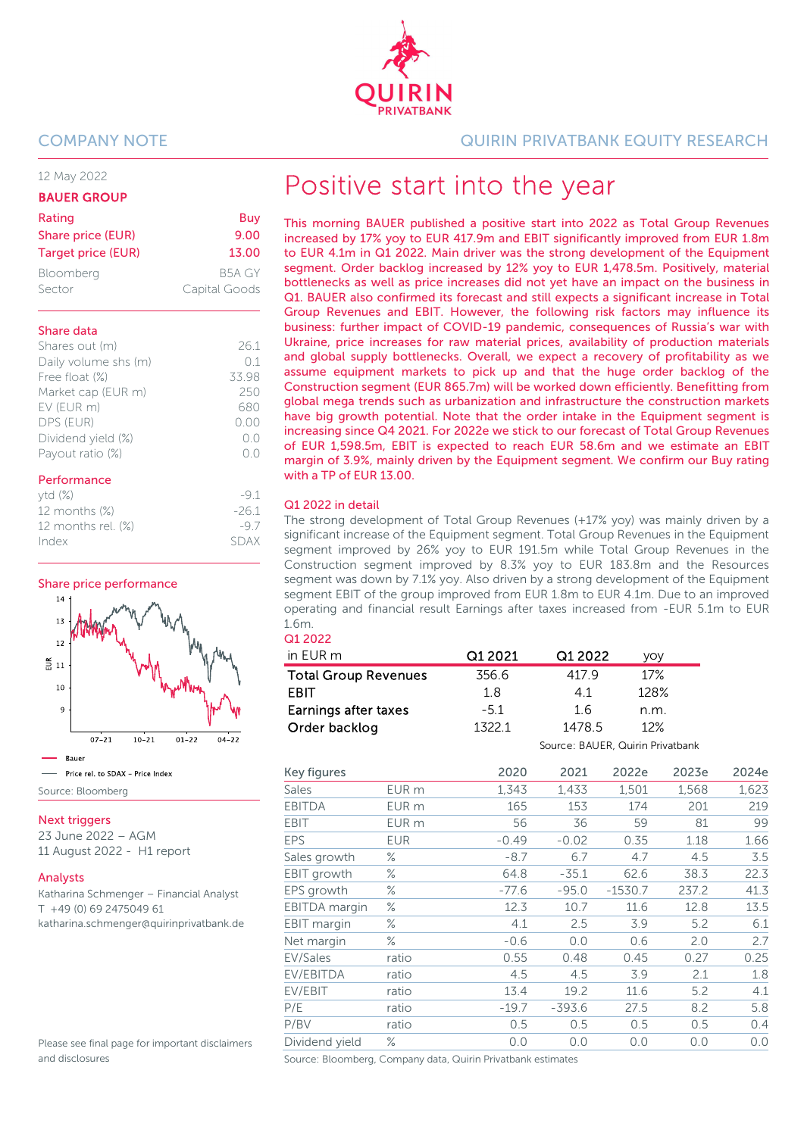12 May 2022

#### BAUER GROUP

| Rating                    | Buy           |
|---------------------------|---------------|
| Share price (EUR)         | 9.00          |
| <b>Target price (EUR)</b> | 13.00         |
| Bloomberg                 | B5A GY        |
| Sector                    | Capital Goods |

#### Share data

| Shares out (m)       | 261   |
|----------------------|-------|
| Daily volume shs (m) | 01    |
| Free float (%)       | 33.98 |
| Market cap (EUR m)   | 250   |
| EV (EUR m)           | 680   |
| DPS (EUR)            | 0.00  |
| Dividend yield (%)   | (0.0) |
| Payout ratio (%)     | () () |
|                      |       |

#### Performance

| ytd(%)             | $-91$   |
|--------------------|---------|
| 12 months $(\%)$   | $-26.1$ |
| 12 months rel. (%) | $-97$   |
| Index              | SDAX    |

Share price performance



#### **Next triggers**

23 June 2022 – AGM 11 August 2022 - H1 report

#### Analysts

Katharina Schmenger – Financial Analyst T +49 (0) 69 2475049 61 katharina.schmenger@quirinprivatbank.de

Please see final page for important disclaimers and disclosures

#### COMPANY NOTE QUIRIN PRIVATBANK EQUITY RESEARCH

# Positive start into the year

This morning BAUER published a positive start into 2022 as Total Group Revenues increased by 17% yoy to EUR 417.9m and EBIT significantly improved from EUR 1.8m to EUR 4.1m in Q1 2022. Main driver was the strong development of the Equipment segment. Order backlog increased by 12% yoy to EUR 1,478.5m. Positively, material bottlenecks as well as price increases did not yet have an impact on the business in Q1. BAUER also confirmed its forecast and still expects a significant increase in Total Group Revenues and EBIT. However, the following risk factors may influence its business: further impact of COVID-19 pandemic, consequences of Russia's war with Ukraine, price increases for raw material prices, availability of production materials and global supply bottlenecks. Overall, we expect a recovery of profitability as we assume equipment markets to pick up and that the huge order backlog of the Construction segment (EUR 865.7m) will be worked down efficiently. Benefitting from global mega trends such as urbanization and infrastructure the construction markets have big growth potential. Note that the order intake in the Equipment segment is increasing since Q4 2021. For 2022e we stick to our forecast of Total Group Revenues of EUR 1,598.5m, EBIT is expected to reach EUR 58.6m and we estimate an EBIT margin of 3.9%, mainly driven by the Equipment segment. We confirm our Buy rating with a TP of EUR 13.00.

#### Q1 2022 in detail

The strong development of Total Group Revenues (+17% yoy) was mainly driven by a significant increase of the Equipment segment. Total Group Revenues in the Equipment segment improved by 26% yoy to EUR 191.5m while Total Group Revenues in the Construction segment improved by 8.3% yoy to EUR 183.8m and the Resources segment was down by 7.1% yoy. Also driven by a strong development of the Equipment segment EBIT of the group improved from EUR 1.8m to EUR 4.1m. Due to an improved operating and financial result Earnings after taxes increased from -EUR 5.1m to EUR 1.6m.

## Q1 2022

| in EUR m                    | Q1 2021 | Q1 2022                          | yoy  |
|-----------------------------|---------|----------------------------------|------|
| <b>Total Group Revenues</b> | 356.6   | 417.9                            | 17%  |
| <b>FRIT</b>                 | 1.8     | 41                               | 128% |
| Earnings after taxes        | $-5.1$  | 1.6                              | n.m. |
| Order backlog               | 1322.1  | 1478.5                           | 12%  |
|                             |         | Source: BAUER, Quirin Privatbank |      |

| Key figures          |            | 2020    | 2021     | 2022e     | 2023e | 2024e |
|----------------------|------------|---------|----------|-----------|-------|-------|
| <b>Sales</b>         | EUR m      | 1,343   | 1,433    | 1,501     | 1,568 | 1,623 |
| <b>EBITDA</b>        | EUR m      | 165     | 153      | 174       | 201   | 219   |
| <b>EBIT</b>          | EUR m      | 56      | 36       | 59        | 81    | 99    |
| <b>EPS</b>           | <b>EUR</b> | $-0.49$ | $-0.02$  | 0.35      | 1.18  | 1.66  |
| Sales growth         | ℅          | $-8.7$  | 6.7      | 4.7       | 4.5   | 3.5   |
| EBIT growth          | ℅          | 64.8    | $-35.1$  | 62.6      | 38.3  | 22.3  |
| EPS growth           | ℅          | $-77.6$ | $-95.0$  | $-1530.7$ | 237.2 | 41.3  |
| <b>EBITDA</b> margin | ℅          | 12.3    | 10.7     | 11.6      | 12.8  | 13.5  |
| EBIT margin          | ℅          | 4.1     | 2.5      | 3.9       | 5.2   | 6.1   |
| Net margin           | ℅          | $-0.6$  | 0.0      | 0.6       | 2.0   | 2.7   |
| EV/Sales             | ratio      | 0.55    | 0.48     | 0.45      | 0.27  | 0.25  |
| EV/EBITDA            | ratio      | 4.5     | 4.5      | 3.9       | 2.1   | 1.8   |
| EV/EBIT              | ratio      | 13.4    | 19.2     | 11.6      | 5.2   | 4.1   |
| P/E                  | ratio      | $-19.7$ | $-393.6$ | 27.5      | 8.2   | 5.8   |
| P/BV                 | ratio      | 0.5     | 0.5      | 0.5       | 0.5   | 0.4   |
| Dividend yield       | ℅          | 0.0     | 0.0      | 0.0       | 0.0   | 0.0   |

Source: Bloomberg, Company data, Quirin Privatbank estimates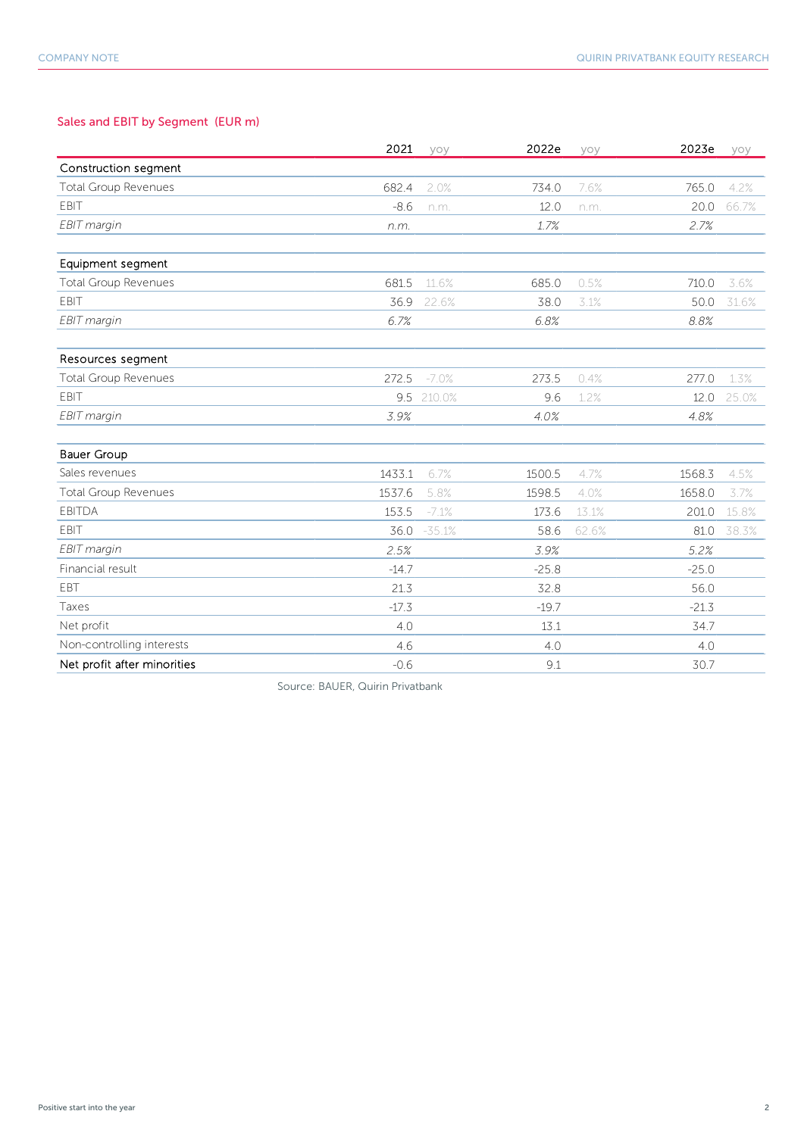### Sales and EBIT by Segment (EUR m)

|                             | 2021    | yoy      | 2022e   | yoy   | 2023e   | yoy   |
|-----------------------------|---------|----------|---------|-------|---------|-------|
| Construction segment        |         |          |         |       |         |       |
| <b>Total Group Revenues</b> | 682.4   | 2.0%     | 734.0   | 7.6%  | 765.0   | 4.2%  |
| <b>EBIT</b>                 | $-8.6$  | n.m.     | 12.0    | n.m.  | 20.0    | 66.7% |
| EBIT margin                 | n.m.    |          | 1.7%    |       | 2.7%    |       |
|                             |         |          |         |       |         |       |
| Equipment segment           |         |          |         |       |         |       |
| <b>Total Group Revenues</b> | 681.5   | 11.6%    | 685.0   | 0.5%  | 710.0   | 3.6%  |
| EBIT                        | 36.9    | 22.6%    | 38.0    | 3.1%  | 50.0    | 31.6% |
| EBIT margin                 | 6.7%    |          | 6.8%    |       | 8.8%    |       |
| Resources segment           |         |          |         |       |         |       |
| <b>Total Group Revenues</b> | 272.5   | $-7.0%$  | 273.5   | 0.4%  | 277.0   | 1.3%  |
| <b>EBIT</b>                 | 9.5     | 210.0%   | 9.6     | 1.2%  | 12.0    | 25.0% |
| EBIT margin                 | 3.9%    |          | 4.0%    |       | 4.8%    |       |
| <b>Bauer Group</b>          |         |          |         |       |         |       |
| Sales revenues              | 1433.1  | 6.7%     | 1500.5  | 4.7%  | 1568.3  | 4.5%  |
| <b>Total Group Revenues</b> | 1537.6  | 5.8%     | 1598.5  | 4.0%  | 1658.0  | 3.7%  |
| <b>EBITDA</b>               | 153.5   | $-7.1%$  | 173.6   | 13.1% | 201.0   | 15.8% |
| <b>FBIT</b>                 | 36.0    | $-35.1%$ | 58.6    | 62.6% | 81.0    | 38.3% |
| EBIT margin                 | 2.5%    |          | 3.9%    |       | 5.2%    |       |
| Financial result            | $-14.7$ |          | $-25.8$ |       | $-25.0$ |       |
| <b>FBT</b>                  | 21.3    |          | 32.8    |       | 56.0    |       |
| Taxes                       | $-17.3$ |          | $-19.7$ |       | $-21.3$ |       |
| Net profit                  | 4.0     |          | 13.1    |       | 34.7    |       |
| Non-controlling interests   | 4.6     |          | 4.0     |       | 4.0     |       |
| Net profit after minorities | $-0.6$  |          | 9.1     |       | 30.7    |       |

Source: BAUER, Quirin Privatbank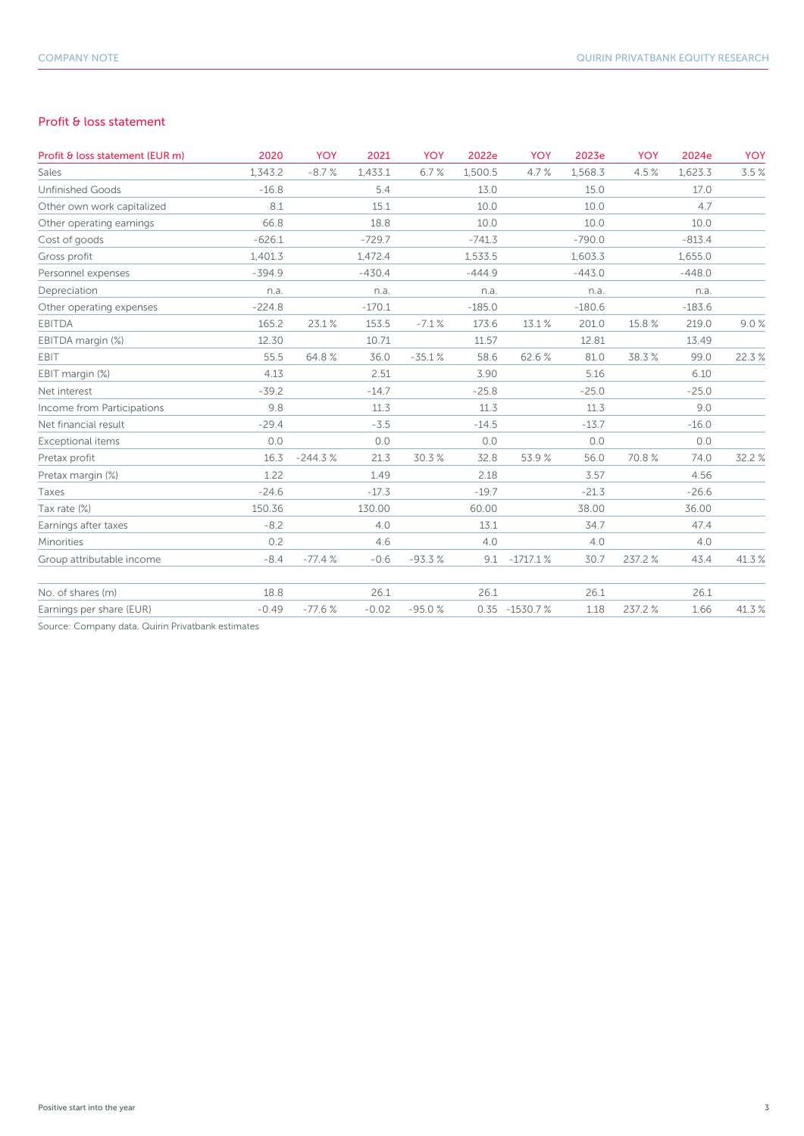#### Profit & loss statement

| Profit & loss statement (EUR m) | 2020     | <b>YOY</b> | 2021     | <b>YOY</b> | 2022e    | <b>YOY</b>        | 2023e    | <b>YOY</b> | 2024e    | <b>YOY</b> |
|---------------------------------|----------|------------|----------|------------|----------|-------------------|----------|------------|----------|------------|
| Sales                           | 1.343.2  | $-8.7%$    | 1,433.1  | 6.7%       | 1,500.5  | 4.7%              | 1,568.3  | 4.5%       | 1,623.3  | 3.5%       |
| <b>Unfinished Goods</b>         | $-16.8$  |            | 5.4      |            | 13.0     |                   | 15.0     |            | 17.0     |            |
| Other own work capitalized      | 8.1      |            | 15.1     |            | 10.0     |                   | 10.0     |            | 4.7      |            |
| Other operating earnings        | 66.8     |            | 18.8     |            | 10.0     |                   | 10.0     |            | 10.0     |            |
| Cost of goods                   | $-626.1$ |            | $-729.7$ |            | $-741.3$ |                   | $-790.0$ |            | $-813.4$ |            |
| Gross profit                    | 1,401.3  |            | 1,472.4  |            | 1,533.5  |                   | 1,603.3  |            | 1,655.0  |            |
| Personnel expenses              | $-394.9$ |            | $-430.4$ |            | $-444.9$ |                   | $-443.0$ |            | $-448.0$ |            |
| Depreciation                    | n.a.     |            | n.a.     |            | n.a.     |                   | n.a.     |            | n.a.     |            |
| Other operating expenses        | $-224.8$ |            | $-170.1$ |            | $-185.0$ |                   | $-180.6$ |            | $-183.6$ |            |
| <b>EBITDA</b>                   | 165.2    | 23.1%      | 153.5    | $-7.1%$    | 173.6    | 13.1%             | 201.0    | 15.8%      | 219.0    | 9.0%       |
| EBITDA margin (%)               | 12.30    |            | 10.71    |            | 11.57    |                   | 12.81    |            | 13.49    |            |
| EBIT                            | 55.5     | 64.8%      | 36.0     | $-35.1%$   | 58.6     | 62.6%             | 81.0     | 38.3%      | 99.0     | 22.3%      |
| EBIT margin (%)                 | 4.13     |            | 2.51     |            | 3.90     |                   | 5.16     |            | 6.10     |            |
| Net interest                    | $-39.2$  |            | $-14.7$  |            | $-25.8$  |                   | $-25.0$  |            | $-25.0$  |            |
| Income from Participations      | 9.8      |            | 11.3     |            | 11.3     |                   | 11.3     |            | 9.0      |            |
| Net financial result            | $-29.4$  |            | $-3.5$   |            | $-14.5$  |                   | $-13.7$  |            | $-16.0$  |            |
| Exceptional items               | 0.0      |            | 0.0      |            | 0.0      |                   | 0.0      |            | 0.0      |            |
| Pretax profit                   | 16.3     | $-244.3%$  | 21.3     | 30.3%      | 32.8     | 53.9%             | 56.0     | 70.8%      | 74.0     | 32.2%      |
| Pretax margin (%)               | 1.22     |            | 1.49     |            | 2.18     |                   | 3.57     |            | 4.56     |            |
| Taxes                           | $-24.6$  |            | $-17.3$  |            | $-19.7$  |                   | $-21.3$  |            | $-26.6$  |            |
| Tax rate (%)                    | 150.36   |            | 130.00   |            | 60.00    |                   | 38.00    |            | 36.00    |            |
| Earnings after taxes            | $-8.2$   |            | 4.0      |            | 13.1     |                   | 34.7     |            | 47.4     |            |
| Minorities                      | 0.2      |            | 4.6      |            | 4.0      |                   | 4.0      |            | 4.0      |            |
| Group attributable income       | $-8.4$   | $-77.4%$   | $-0.6$   | $-93.3%$   | 9.1      | $-1717.1%$        | 30.7     | 237.2%     | 43.4     | 41.3%      |
| No. of shares (m)               | 18.8     |            | 26.1     |            | 26.1     |                   | 26.1     |            | 26.1     |            |
| Earnings per share (EUR)        | $-0.49$  | $-77.6%$   | $-0.02$  | $-95.0%$   |          | $0.35 - 1530.7 %$ | 1.18     | 237.2%     | 1.66     | 41.3%      |

Source: Company data, Quirin Privatbank estimates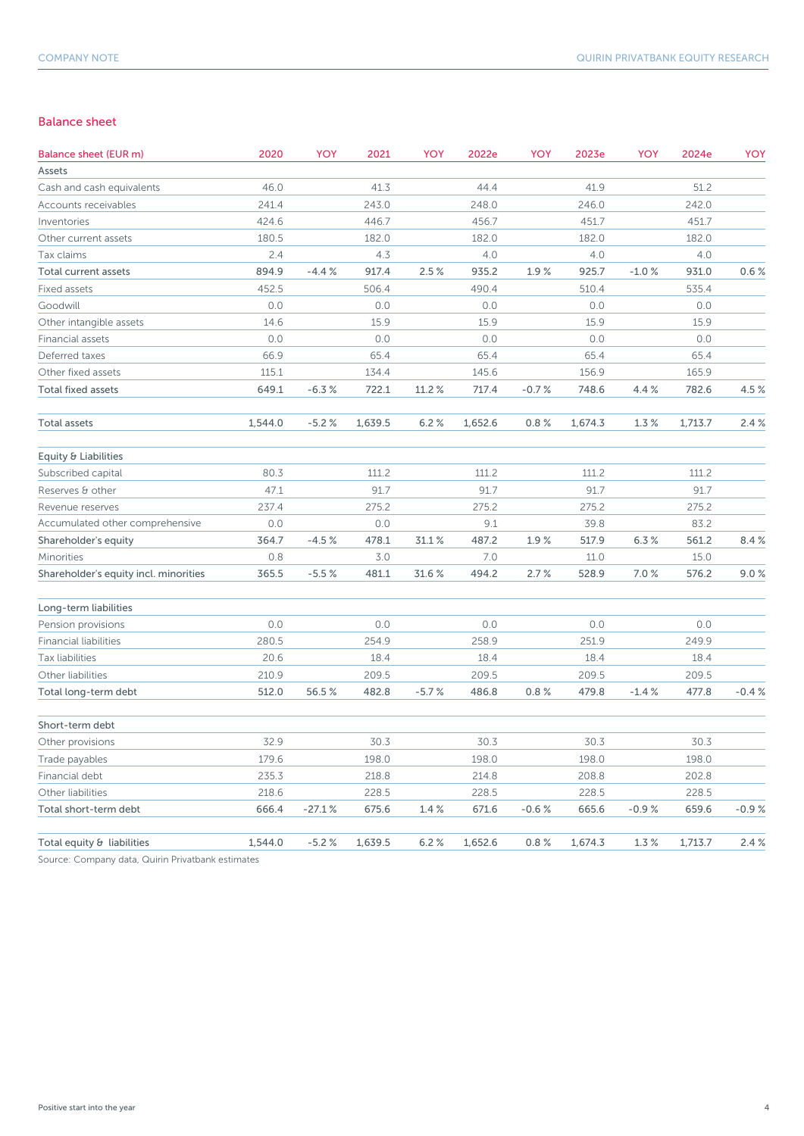#### Balance sheet

| Balance sheet (EUR m)                 | 2020    | YOY      | 2021    | YOY     | 2022e   | YOY     | 2023e   | YOY     | 2024e   | YOY     |
|---------------------------------------|---------|----------|---------|---------|---------|---------|---------|---------|---------|---------|
| Assets                                |         |          |         |         |         |         |         |         |         |         |
| Cash and cash equivalents             | 46.0    |          | 41.3    |         | 44.4    |         | 41.9    |         | 51.2    |         |
| Accounts receivables                  | 241.4   |          | 243.0   |         | 248.0   |         | 246.0   |         | 242.0   |         |
| Inventories                           | 424.6   |          | 446.7   |         | 456.7   |         | 451.7   |         | 451.7   |         |
| Other current assets                  | 180.5   |          | 182.0   |         | 182.0   |         | 182.0   |         | 182.0   |         |
| Tax claims                            | 2.4     |          | 4.3     |         | 4.0     |         | 4.0     |         | 4.0     |         |
| Total current assets                  | 894.9   | $-4.4%$  | 917.4   | 2.5%    | 935.2   | 1.9%    | 925.7   | $-1.0%$ | 931.0   | 0.6%    |
| Fixed assets                          | 452.5   |          | 506.4   |         | 490.4   |         | 510.4   |         | 535.4   |         |
| Goodwill                              | 0.0     |          | 0.0     |         | 0.0     |         | 0.0     |         | 0.0     |         |
| Other intangible assets               | 14.6    |          | 15.9    |         | 15.9    |         | 15.9    |         | 15.9    |         |
| Financial assets                      | 0.0     |          | 0.0     |         | 0.0     |         | 0.0     |         | 0.0     |         |
| Deferred taxes                        | 66.9    |          | 65.4    |         | 65.4    |         | 65.4    |         | 65.4    |         |
| Other fixed assets                    | 115.1   |          | 134.4   |         | 145.6   |         | 156.9   |         | 165.9   |         |
| <b>Total fixed assets</b>             | 649.1   | $-6.3%$  | 722.1   | 11.2%   | 717.4   | $-0.7%$ | 748.6   | 4.4 %   | 782.6   | 4.5%    |
| Total assets                          | 1,544.0 | $-5.2%$  | 1,639.5 | 6.2%    | 1,652.6 | 0.8%    | 1,674.3 | 1.3%    | 1,713.7 | 2.4%    |
| Equity & Liabilities                  |         |          |         |         |         |         |         |         |         |         |
| Subscribed capital                    | 80.3    |          | 111.2   |         | 111.2   |         | 111.2   |         | 111.2   |         |
| Reserves & other                      | 47.1    |          | 91.7    |         | 91.7    |         | 91.7    |         | 91.7    |         |
| Revenue reserves                      | 237.4   |          | 275.2   |         | 275.2   |         | 275.2   |         | 275.2   |         |
| Accumulated other comprehensive       | 0.0     |          | 0.0     |         | 9.1     |         | 39.8    |         | 83.2    |         |
| Shareholder's equity                  | 364.7   | $-4.5%$  | 478.1   | 31.1%   | 487.2   | 1.9%    | 517.9   | 6.3%    | 561.2   | 8.4%    |
| Minorities                            | 0.8     |          | 3.0     |         | 7.0     |         | 11.0    |         | 15.0    |         |
| Shareholder's equity incl. minorities | 365.5   | $-5.5%$  | 481.1   | 31.6 %  | 494.2   | 2.7%    | 528.9   | 7.0%    | 576.2   | 9.0%    |
| Long-term liabilities                 |         |          |         |         |         |         |         |         |         |         |
| Pension provisions                    | 0.0     |          | 0.0     |         | 0.0     |         | 0.0     |         | 0.0     |         |
| <b>Financial liabilities</b>          | 280.5   |          | 254.9   |         | 258.9   |         | 251.9   |         | 249.9   |         |
| Tax liabilities                       | 20.6    |          | 18.4    |         | 18.4    |         | 18.4    |         | 18.4    |         |
| Other liabilities                     | 210.9   |          | 209.5   |         | 209.5   |         | 209.5   |         | 209.5   |         |
| Total long-term debt                  | 512.0   | 56.5%    | 482.8   | $-5.7%$ | 486.8   | 0.8%    | 479.8   | $-1.4%$ | 477.8   | $-0.4%$ |
| Short-term debt                       |         |          |         |         |         |         |         |         |         |         |
| Other provisions                      | 32.9    |          | 30.3    |         | 30.3    |         | 30.3    |         | 30.3    |         |
| Trade payables                        | 179.6   |          | 198.0   |         | 198.0   |         | 198.0   |         | 198.0   |         |
| Financial debt                        | 235.3   |          | 218.8   |         | 214.8   |         | 208.8   |         | 202.8   |         |
| Other liabilities                     | 218.6   |          | 228.5   |         | 228.5   |         | 228.5   |         | 228.5   |         |
| Total short-term debt                 | 666.4   | $-27.1%$ | 675.6   | 1.4%    | 671.6   | $-0.6%$ | 665.6   | $-0.9%$ | 659.6   | $-0.9%$ |
| Total equity & liabilities            | 1,544.0 | $-5.2%$  | 1,639.5 | 6.2%    | 1,652.6 | 0.8%    | 1,674.3 | 1.3%    | 1,713.7 | 2.4%    |

Source: Company data, Quirin Privatbank estimates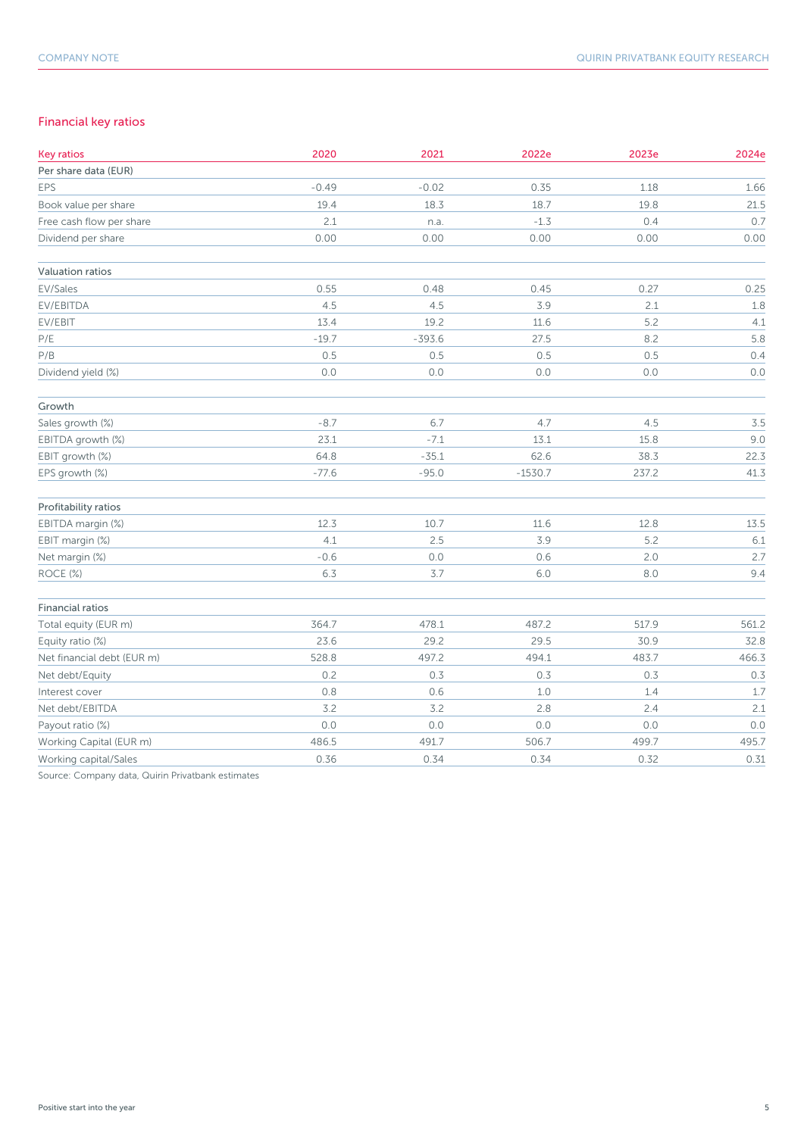### Financial key ratios

| <b>Key ratios</b>          | 2020    | 2021     | 2022e     | 2023e   | 2024e |
|----------------------------|---------|----------|-----------|---------|-------|
| Per share data (EUR)       |         |          |           |         |       |
| EPS                        | $-0.49$ | $-0.02$  | 0.35      | 1.18    | 1.66  |
| Book value per share       | 19.4    | 18.3     | 18.7      | 19.8    | 21.5  |
| Free cash flow per share   | 2.1     | n.a.     | $-1.3$    | 0.4     | 0.7   |
| Dividend per share         | 0.00    | 0.00     | 0.00      | 0.00    | 0.00  |
| Valuation ratios           |         |          |           |         |       |
| EV/Sales                   | 0.55    | 0.48     | 0.45      | 0.27    | 0.25  |
| EV/EBITDA                  | 4.5     | 4.5      | 3.9       | 2.1     | 1.8   |
| EV/EBIT                    | 13.4    | 19.2     | 11.6      | 5.2     | 4.1   |
| $\mathsf{P}/\mathsf{E}$    | $-19.7$ | $-393.6$ | 27.5      | 8.2     | 5.8   |
| P/B                        | 0.5     | 0.5      | 0.5       | 0.5     | 0.4   |
| Dividend yield (%)         | $0.0$   | $0.0$    | $0.0$     | $0.0\,$ | $0.0$ |
| Growth                     |         |          |           |         |       |
| Sales growth (%)           | $-8.7$  | 6.7      | 4.7       | 4.5     | 3.5   |
| EBITDA growth (%)          | 23.1    | $-7.1$   | 13.1      | 15.8    | 9.0   |
| EBIT growth (%)            | 64.8    | $-35.1$  | 62.6      | 38.3    | 22.3  |
| EPS growth (%)             | $-77.6$ | $-95.0$  | $-1530.7$ | 237.2   | 41.3  |
| Profitability ratios       |         |          |           |         |       |
| EBITDA margin (%)          | 12.3    | 10.7     | 11.6      | 12.8    | 13.5  |
| EBIT margin (%)            | 4.1     | 2.5      | 3.9       | 5.2     | 6.1   |
| Net margin (%)             | $-0.6$  | $0.0$    | 0.6       | 2.0     | 2.7   |
| ROCE (%)                   | 6.3     | $3.7$    | $6.0$     | $8.0\,$ | 9.4   |
| <b>Financial ratios</b>    |         |          |           |         |       |
| Total equity (EUR m)       | 364.7   | 478.1    | 487.2     | 517.9   | 561.2 |
| Equity ratio (%)           | 23.6    | 29.2     | 29.5      | 30.9    | 32.8  |
| Net financial debt (EUR m) | 528.8   | 497.2    | 494.1     | 483.7   | 466.3 |
| Net debt/Equity            | 0.2     | 0.3      | 0.3       | 0.3     | 0.3   |
| Interest cover             | 0.8     | 0.6      | 1.0       | 1.4     | 1.7   |
| Net debt/EBITDA            | 3.2     | 3.2      | 2.8       | 2.4     | 2.1   |
| Payout ratio (%)           | 0.0     | $0.0$    | 0.0       | $0.0\,$ | 0.0   |
| Working Capital (EUR m)    | 486.5   | 491.7    | 506.7     | 499.7   | 495.7 |
| Working capital/Sales      | 0.36    | 0.34     | 0.34      | 0.32    | 0.31  |

Source: Company data, Quirin Privatbank estimates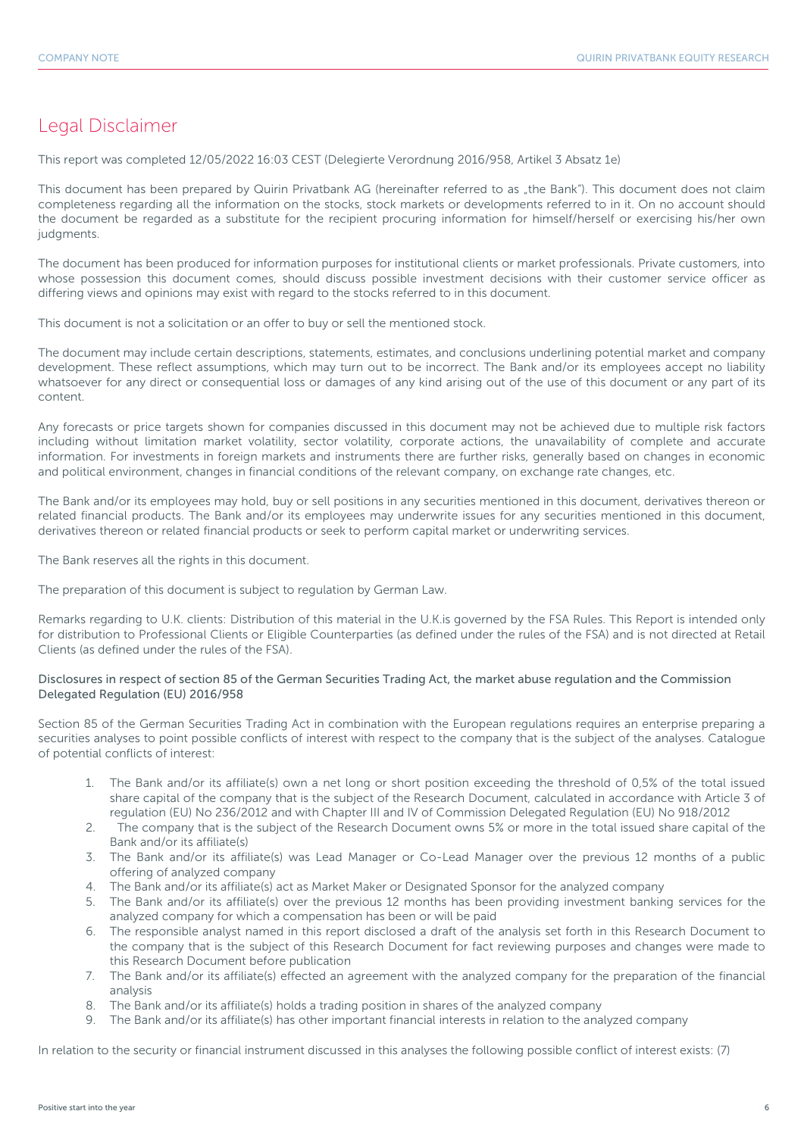# Legal Disclaimer

This report was completed 12/05/2022 16:03 CEST (Delegierte Verordnung 2016/958, Artikel 3 Absatz 1e)

This document has been prepared by Quirin Privatbank AG (hereinafter referred to as "the Bank"). This document does not claim completeness regarding all the information on the stocks, stock markets or developments referred to in it. On no account should the document be regarded as a substitute for the recipient procuring information for himself/herself or exercising his/her own judgments.

The document has been produced for information purposes for institutional clients or market professionals. Private customers, into whose possession this document comes, should discuss possible investment decisions with their customer service officer as differing views and opinions may exist with regard to the stocks referred to in this document.

This document is not a solicitation or an offer to buy or sell the mentioned stock.

The document may include certain descriptions, statements, estimates, and conclusions underlining potential market and company development. These reflect assumptions, which may turn out to be incorrect. The Bank and/or its employees accept no liability whatsoever for any direct or consequential loss or damages of any kind arising out of the use of this document or any part of its content.

Any forecasts or price targets shown for companies discussed in this document may not be achieved due to multiple risk factors including without limitation market volatility, sector volatility, corporate actions, the unavailability of complete and accurate information. For investments in foreign markets and instruments there are further risks, generally based on changes in economic and political environment, changes in financial conditions of the relevant company, on exchange rate changes, etc.

The Bank and/or its employees may hold, buy or sell positions in any securities mentioned in this document, derivatives thereon or related financial products. The Bank and/or its employees may underwrite issues for any securities mentioned in this document, derivatives thereon or related financial products or seek to perform capital market or underwriting services.

The Bank reserves all the rights in this document.

The preparation of this document is subject to regulation by German Law.

Remarks regarding to U.K. clients: Distribution of this material in the U.K.is governed by the FSA Rules. This Report is intended only for distribution to Professional Clients or Eligible Counterparties (as defined under the rules of the FSA) and is not directed at Retail Clients (as defined under the rules of the FSA).

#### Disclosures in respect of section 85 of the German Securities Trading Act, the market abuse regulation and the Commission Delegated Regulation (EU) 2016/958

Section 85 of the German Securities Trading Act in combination with the European regulations requires an enterprise preparing a securities analyses to point possible conflicts of interest with respect to the company that is the subject of the analyses. Catalogue of potential conflicts of interest:

- 1. The Bank and/or its affiliate(s) own a net long or short position exceeding the threshold of 0,5% of the total issued share capital of the company that is the subject of the Research Document, calculated in accordance with Article 3 of regulation (EU) No 236/2012 and with Chapter III and IV of Commission Delegated Regulation (EU) No 918/2012
- 2. The company that is the subject of the Research Document owns 5% or more in the total issued share capital of the Bank and/or its affiliate(s)
- 3. The Bank and/or its affiliate(s) was Lead Manager or Co-Lead Manager over the previous 12 months of a public offering of analyzed company
- 4. The Bank and/or its affiliate(s) act as Market Maker or Designated Sponsor for the analyzed company
- 5. The Bank and/or its affiliate(s) over the previous 12 months has been providing investment banking services for the analyzed company for which a compensation has been or will be paid
- 6. The responsible analyst named in this report disclosed a draft of the analysis set forth in this Research Document to the company that is the subject of this Research Document for fact reviewing purposes and changes were made to this Research Document before publication
- 7. The Bank and/or its affiliate(s) effected an agreement with the analyzed company for the preparation of the financial analysis
- 8. The Bank and/or its affiliate(s) holds a trading position in shares of the analyzed company
- 9. The Bank and/or its affiliate(s) has other important financial interests in relation to the analyzed company

In relation to the security or financial instrument discussed in this analyses the following possible conflict of interest exists: (7)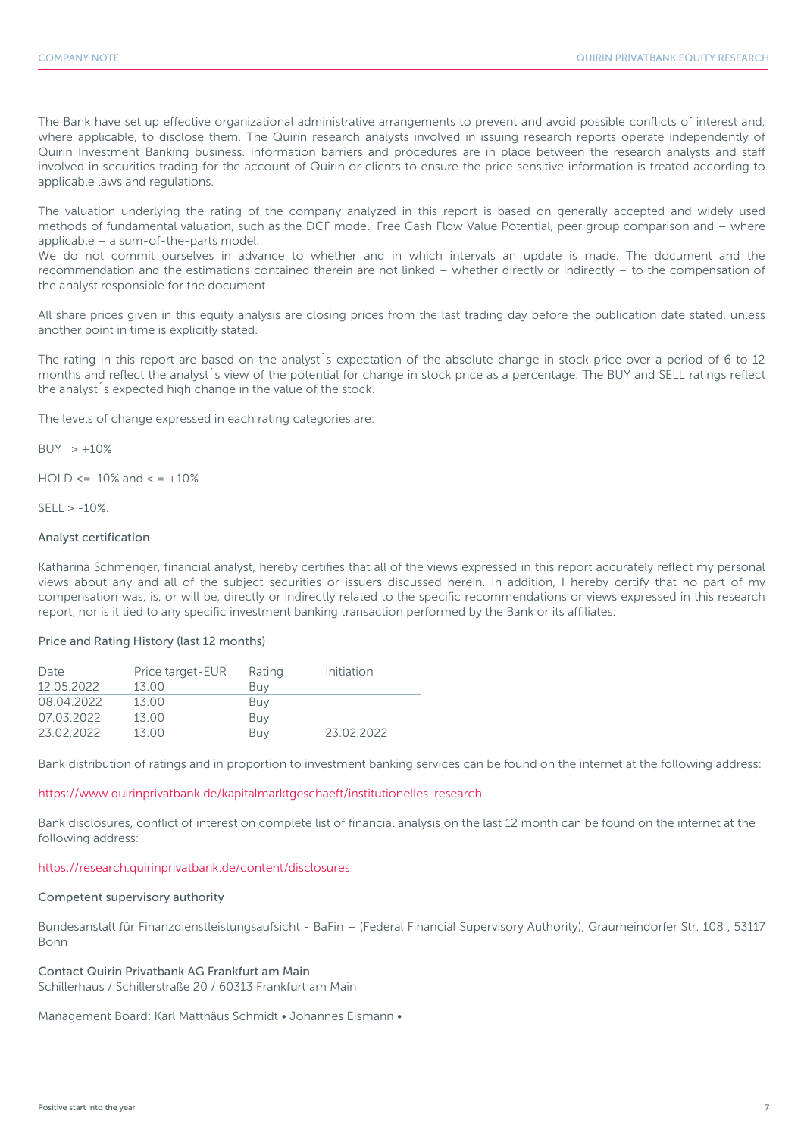The Bank have set up effective organizational administrative arrangements to prevent and avoid possible conflicts of interest and, where applicable, to disclose them. The Quirin research analysts involved in issuing research reports operate independently of Quirin Investment Banking business. Information barriers and procedures are in place between the research analysts and staff involved in securities trading for the account of Quirin or clients to ensure the price sensitive information is treated according to applicable laws and regulations.

The valuation underlying the rating of the company analyzed in this report is based on generally accepted and widely used methods of fundamental valuation, such as the DCF model, Free Cash Flow Value Potential, peer group comparison and – where applicable – a sum-of-the-parts model.

We do not commit ourselves in advance to whether and in which intervals an update is made. The document and the recommendation and the estimations contained therein are not linked – whether directly or indirectly – to the compensation of the analyst responsible for the document.

All share prices given in this equity analysis are closing prices from the last trading day before the publication date stated, unless another point in time is explicitly stated.

The rating in this report are based on the analyst´s expectation of the absolute change in stock price over a period of 6 to 12 months and reflect the analyst´s view of the potential for change in stock price as a percentage. The BUY and SELL ratings reflect the analyst´s expected high change in the value of the stock.

The levels of change expressed in each rating categories are:

 $BUY > +10%$ 

 $HOLD \le -10\%$  and  $\le +10\%$ 

 $SFII > -10%$ 

#### Analyst certification

Katharina Schmenger, financial analyst, hereby certifies that all of the views expressed in this report accurately reflect my personal views about any and all of the subject securities or issuers discussed herein. In addition, I hereby certify that no part of my compensation was, is, or will be, directly or indirectly related to the specific recommendations or views expressed in this research report, nor is it tied to any specific investment banking transaction performed by the Bank or its affiliates.

#### Price and Rating History (last 12 months)

| Date       | Price target-EUR | Rating | Initiation |
|------------|------------------|--------|------------|
| 12 05 2022 | 13 00            | Buy    |            |
| 08.04.2022 | 1300             | Buv    |            |
| 07 03 2022 | 1300             | Buy    |            |
| 23.02.2022 | 1300             | Buv    | 23 02 2022 |

Bank distribution of ratings and in proportion to investment banking services can be found on the internet at the following address:

#### https://www.quirinprivatbank.de/kapitalmarktgeschaeft/institutionelles-research

Bank disclosures, conflict of interest on complete list of financial analysis on the last 12 month can be found on the internet at the following address:

#### https://research.quirinprivatbank.de/content/disclosures

#### Competent supervisory authority

Bundesanstalt für Finanzdienstleistungsaufsicht - BaFin – (Federal Financial Supervisory Authority), Graurheindorfer Str. 108 , 53117 Bonn

Contact Quirin Privatbank AG Frankfurt am Main Schillerhaus / Schillerstraße 20 / 60313 Frankfurt am Main

Management Board: Karl Matthäus Schmidt • Johannes Eismann •